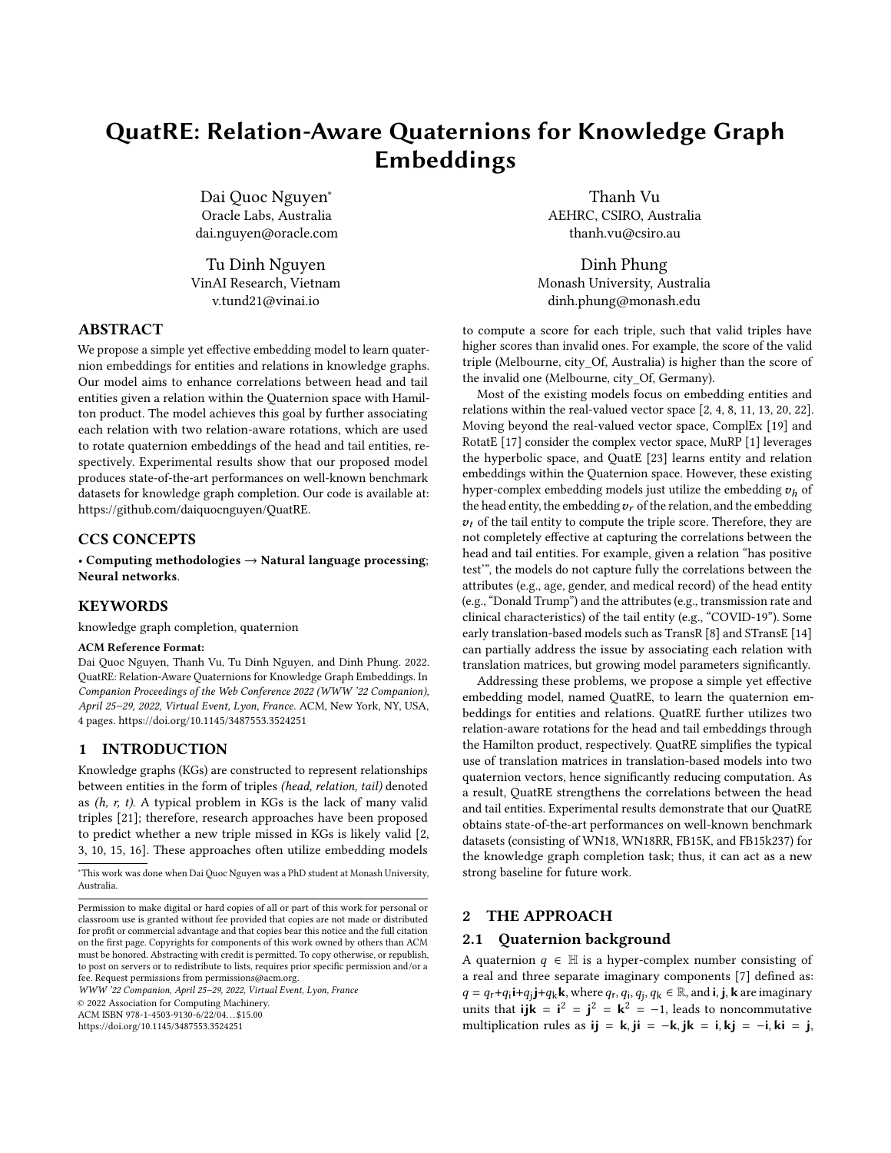# QuatRE: Relation-Aware Quaternions for Knowledge Graph Embeddings

Dai Quoc Nguyen<sup>∗</sup> Oracle Labs, Australia dai.nguyen@oracle.com

Tu Dinh Nguyen VinAI Research, Vietnam v.tund21@vinai.io

ABSTRACT

We propose a simple yet effective embedding model to learn quaternion embeddings for entities and relations in knowledge graphs. Our model aims to enhance correlations between head and tail entities given a relation within the Quaternion space with Hamilton product. The model achieves this goal by further associating each relation with two relation-aware rotations, which are used to rotate quaternion embeddings of the head and tail entities, respectively. Experimental results show that our proposed model produces state-of-the-art performances on well-known benchmark datasets for knowledge graph completion. Our code is available at: [https://github.com/daiquocnguyen/QuatRE.](https://github.com/daiquocnguyen/QuatRE)

# CCS CONCEPTS

• Computing methodologies → Natural language processing; Neural networks.

## KEYWORDS

knowledge graph completion, quaternion

#### ACM Reference Format:

Dai Quoc Nguyen, Thanh Vu, Tu Dinh Nguyen, and Dinh Phung. 2022. QuatRE: Relation-Aware Quaternions for Knowledge Graph Embeddings. In Companion Proceedings of the Web Conference 2022 (WWW '22 Companion), April 25–29, 2022, Virtual Event, Lyon, France. ACM, New York, NY, USA, [4](#page-3-0) pages.<https://doi.org/10.1145/3487553.3524251>

## 1 INTRODUCTION

Knowledge graphs (KGs) are constructed to represent relationships between entities in the form of triples (head, relation, tail) denoted as  $(h, r, t)$ . A typical problem in KGs is the lack of many valid triples [\[21\]](#page-3-1); therefore, research approaches have been proposed to predict whether a new triple missed in KGs is likely valid [\[2,](#page-3-2) [3,](#page-3-3) [10,](#page-3-4) [15,](#page-3-5) [16\]](#page-3-6). These approaches often utilize embedding models

WWW '22 Companion, April 25–29, 2022, Virtual Event, Lyon, France

© 2022 Association for Computing Machinery.

ACM ISBN 978-1-4503-9130-6/22/04. . . \$15.00

<https://doi.org/10.1145/3487553.3524251>

Thanh Vu AEHRC, CSIRO, Australia thanh.vu@csiro.au

Dinh Phung Monash University, Australia dinh.phung@monash.edu

to compute a score for each triple, such that valid triples have higher scores than invalid ones. For example, the score of the valid triple (Melbourne, city\_Of, Australia) is higher than the score of the invalid one (Melbourne, city\_Of, Germany).

Most of the existing models focus on embedding entities and relations within the real-valued vector space [\[2,](#page-3-2) [4,](#page-3-7) [8,](#page-3-8) [11,](#page-3-9) [13,](#page-3-10) [20,](#page-3-11) [22\]](#page-3-12). Moving beyond the real-valued vector space, ComplEx [\[19\]](#page-3-13) and RotatE [\[17\]](#page-3-14) consider the complex vector space, MuRP [\[1\]](#page-3-15) leverages the hyperbolic space, and QuatE [\[23\]](#page-3-16) learns entity and relation embeddings within the Quaternion space. However, these existing hyper-complex embedding models just utilize the embedding  $v_h$  of the head entity, the embedding  $v_r$  of the relation, and the embedding  $v_t$  of the tail entity to compute the triple score. Therefore, they are not completely effective at capturing the correlations between the head and tail entities. For example, given a relation "has positive test'", the models do not capture fully the correlations between the attributes (e.g., age, gender, and medical record) of the head entity (e.g., "Donald Trump") and the attributes (e.g., transmission rate and clinical characteristics) of the tail entity (e.g., "COVID-19"). Some early translation-based models such as TransR [\[8\]](#page-3-8) and STransE [\[14\]](#page-3-17) can partially address the issue by associating each relation with translation matrices, but growing model parameters significantly.

Addressing these problems, we propose a simple yet effective embedding model, named QuatRE, to learn the quaternion embeddings for entities and relations. QuatRE further utilizes two relation-aware rotations for the head and tail embeddings through the Hamilton product, respectively. QuatRE simplifies the typical use of translation matrices in translation-based models into two quaternion vectors, hence significantly reducing computation. As a result, QuatRE strengthens the correlations between the head and tail entities. Experimental results demonstrate that our QuatRE obtains state-of-the-art performances on well-known benchmark datasets (consisting of WN18, WN18RR, FB15K, and FB15k237) for the knowledge graph completion task; thus, it can act as a new strong baseline for future work.

## 2 THE APPROACH

#### 2.1 Quaternion background

A quaternion  $q \in \mathbb{H}$  is a hyper-complex number consisting of a real and three separate imaginary components [\[7\]](#page-3-18) defined as:  $q = q_r + q_i \mathbf{i} + q_j \mathbf{j} + q_k \mathbf{k}$ , where  $q_r, q_i, q_j, q_k \in \mathbb{R}$ , and **i**, **j**, **k** are imaginary units that  $ijk = i^2 = j^2 = k^2 = -1$ , leads to noncommutative multiplication rules as ij = k, ji = -k, jk = i, kj = -i, ki = j,

<sup>∗</sup>This work was done when Dai Quoc Nguyen was a PhD student at Monash University, Australia.

Permission to make digital or hard copies of all or part of this work for personal or classroom use is granted without fee provided that copies are not made or distributed for profit or commercial advantage and that copies bear this notice and the full citation on the first page. Copyrights for components of this work owned by others than ACM must be honored. Abstracting with credit is permitted. To copy otherwise, or republish, to post on servers or to redistribute to lists, requires prior specific permission and/or a fee. Request permissions from permissions@acm.org.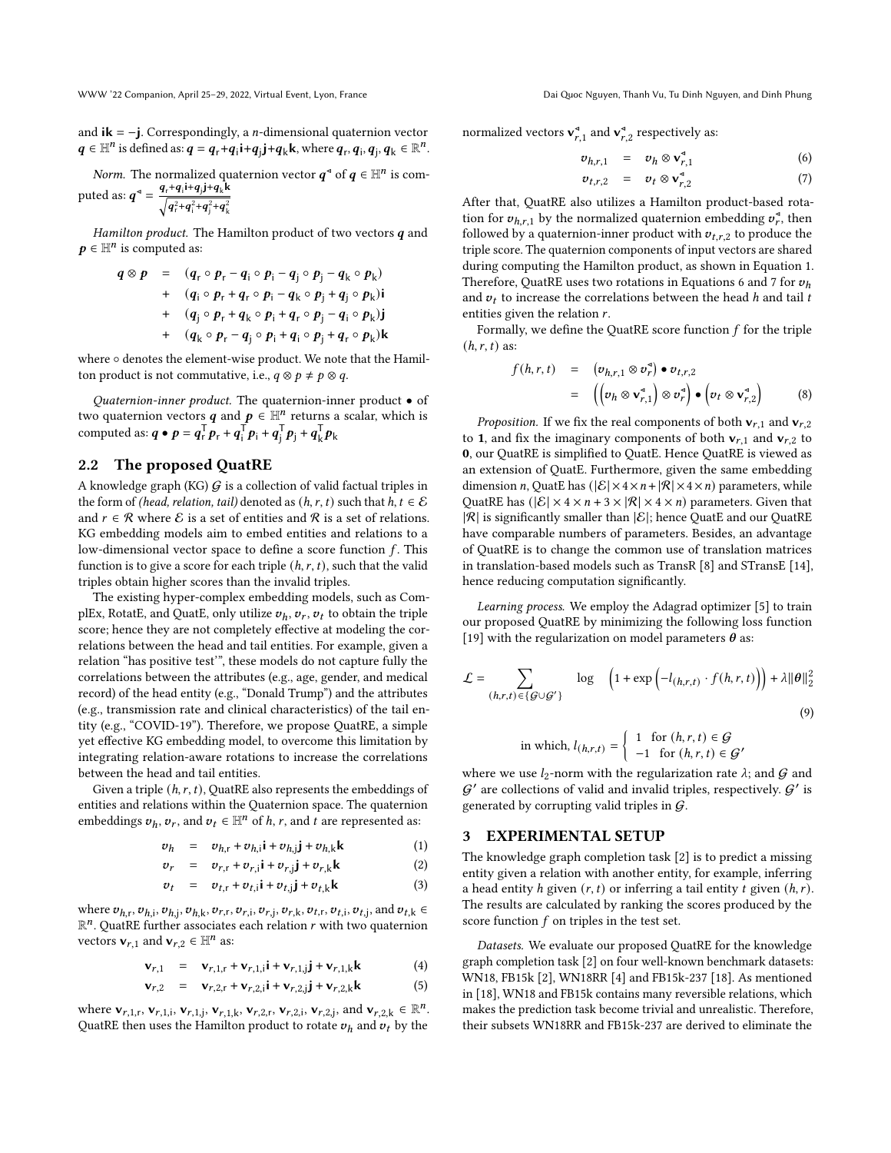and  $ik = -j$ . Correspondingly, a *n*-dimensional quaternion vector  $q \in \mathbb{H}^n$  is defined as:  $q = q_r + q_i \mathbf{i} + q_j \mathbf{j} + q_k \mathbf{k}$ , where  $q_r, q_i, q_j, q_k \in \mathbb{R}^n$ .

*Norm.* The normalized quaternion vector  $q^{\triangleleft}$  of  $q \in \mathbb{H}^n$  is computed as:  $q^4 = \frac{q_r+q_i i+q_j j+q_k k}{\sqrt{q_i^2+q_i^2}}$ 

$$
p \det \text{ as. } \bm{q} = \frac{1}{\sqrt{q_r^2+q_i^2+q_j^2+q_k^2}}
$$

Hamilton product. The Hamilton product of two vectors  $q$  and  $\boldsymbol{p} \in \mathbb{H}^n$  is computed as:

<span id="page-1-0"></span>
$$
q \otimes p = (q_r \circ p_r - q_i \circ p_i - q_j \circ p_j - q_k \circ p_k)
$$
  
+ 
$$
(q_i \circ p_r + q_r \circ p_i - q_k \circ p_j + q_j \circ p_k)i
$$
  
+ 
$$
(q_j \circ p_r + q_k \circ p_i + q_r \circ p_j - q_i \circ p_k)j
$$
  
+ 
$$
(q_k \circ p_r - q_j \circ p_i + q_i \circ p_j + q_r \circ p_k)k
$$

where ∘ denotes the element-wise product. We note that the Hamilton product is not commutative, i.e.,  $q \otimes p \neq p \otimes q$ .

Quaternion-inner product. The quaternion-inner product • of two quaternion vectors q and  $p \in \mathbb{H}^n$  returns a scalar, which is computed as:  $q \bullet p = q_{\text{r}}^{\text{T}} p_{\text{r}} + q_{\text{i}}^{\text{T}} p_{\text{i}} + q_{\text{j}}^{\text{T}} p_{\text{j}} + q_{\text{k}}^{\text{T}} p_{\text{k}}$ 

#### 2.2 The proposed QuatRE

A knowledge graph (KG)  $G$  is a collection of valid factual triples in the form of (head, relation, tail) denoted as  $(h, r, t)$  such that  $h, t \in \mathcal{E}$ and  $r \in \mathcal{R}$  where  $\mathcal{E}$  is a set of entities and  $\mathcal{R}$  is a set of relations. KG embedding models aim to embed entities and relations to a low-dimensional vector space to define a score function  $f$ . This function is to give a score for each triple  $(h, r, t)$ , such that the valid triples obtain higher scores than the invalid triples.

The existing hyper-complex embedding models, such as ComplEx, RotatE, and QuatE, only utilize  $v_h$ ,  $v_r$ ,  $v_t$  to obtain the triple score; hence they are not completely effective at modeling the correlations between the head and tail entities. For example, given a relation "has positive test'", these models do not capture fully the correlations between the attributes (e.g., age, gender, and medical record) of the head entity (e.g., "Donald Trump") and the attributes (e.g., transmission rate and clinical characteristics) of the tail entity (e.g., "COVID-19"). Therefore, we propose QuatRE, a simple yet effective KG embedding model, to overcome this limitation by integrating relation-aware rotations to increase the correlations between the head and tail entities.

Given a triple  $(h, r, t)$ , QuatRE also represents the embeddings of entities and relations within the Quaternion space. The quaternion embeddings  $v_h$ ,  $v_r$ , and  $v_t \in \mathbb{H}^n$  of h, r, and t are represented as:

$$
v_h = v_{h,r} + v_{h,i} \mathbf{i} + v_{h,j} \mathbf{j} + v_{h,k} \mathbf{k} \tag{1}
$$

$$
v_r = v_{r,r} + v_{r,i} \mathbf{i} + v_{r,j} \mathbf{j} + v_{r,k} \mathbf{k}
$$
 (2)

$$
v_t = v_{t,r} + v_{t,i} \mathbf{i} + v_{t,j} \mathbf{j} + v_{t,k} \mathbf{k} \tag{3}
$$

where  $v_{h,r}, v_{h,i}, v_{h,j}, v_{h,k}, v_{r,r}, v_{r,i}, v_{r,j}, v_{r,k}, v_{t,r}, v_{t,i}, v_{t,j},$  and  $v_{t,k} \in$  $\mathbb{R}^n$ . QuatRE further associates each relation *r* with two quaternion vectors  $\mathbf{v}_{r,1}$  and  $\mathbf{v}_{r,2} \in \mathbb{H}^n$  as:

$$
\mathbf{v}_{r,1} = \mathbf{v}_{r,1,r} + \mathbf{v}_{r,1,i} \mathbf{i} + \mathbf{v}_{r,1,j} \mathbf{j} + \mathbf{v}_{r,1,k} \mathbf{k} \tag{4}
$$

$$
\mathbf{v}_{r,2} = \mathbf{v}_{r,2,r} + \mathbf{v}_{r,2,i} \mathbf{i} + \mathbf{v}_{r,2,j} \mathbf{j} + \mathbf{v}_{r,2,k} \mathbf{k}
$$
 (5)

where  $\mathbf{v}_{r,1,r}, \mathbf{v}_{r,1,i}, \mathbf{v}_{r,1,j}, \mathbf{v}_{r,1,k}, \mathbf{v}_{r,2,r}, \mathbf{v}_{r,2,i}, \mathbf{v}_{r,2,j}$ , and  $\mathbf{v}_{r,2,k} \in \mathbb{R}^n$ . QuatRE then uses the Hamilton product to rotate  $v_h$  and  $v_t$  by the

normalized vectors  $\mathbf{v}_{r,1}^{\mathsf{d}}$  and  $\mathbf{v}_{r,2}^{\mathsf{d}}$  respectively as:

<span id="page-1-1"></span>
$$
v_{h,r,1} = v_h \otimes \mathbf{v}_{r,1}^4 \tag{6}
$$

$$
v_{t,r,2} = v_t \otimes \mathbf{v}_{r,2}^4 \tag{7}
$$

After that, QuatRE also utilizes a Hamilton product-based rotation for  $v_{h,r,1}$  by the normalized quaternion embedding  $v_r^*$ , then followed by a quaternion-inner product with  $v_{t,r,2}$  to produce the triple score. The quaternion components of input vectors are shared during computing the Hamilton product, as shown in Equation [1.](#page-1-0) Therefore, QuatRE uses two rotations in Equations [6](#page-1-1) and [7](#page-1-1) for  $v_h$ and  $v_t$  to increase the correlations between the head h and tail t entities given the relation  $r$ .

Formally, we define the QuatRE score function  $f$  for the triple  $(h, r, t)$  as:

$$
f(h,r,t) = (v_{h,r,1} \otimes v_r^4) \bullet v_{t,r,2}
$$
  
= 
$$
((v_h \otimes v_{r,1}^4) \otimes v_r^4) \bullet (v_t \otimes v_{r,2}^4)
$$
 (8)

*Proposition.* If we fix the real components of both  $\mathbf{v}_{r,1}$  and  $\mathbf{v}_{r,2}$ to 1, and fix the imaginary components of both  $v_{r,1}$  and  $v_{r,2}$  to 0, our QuatRE is simplified to QuatE. Hence QuatRE is viewed as an extension of QuatE. Furthermore, given the same embedding dimension *n*, QuatE has  $(|\mathcal{E}| \times 4 \times n + |\mathcal{R}| \times 4 \times n)$  parameters, while QuatRE has  $(|\mathcal{E}| \times 4 \times n + 3 \times |\mathcal{R}| \times 4 \times n)$  parameters. Given that  $|R|$  is significantly smaller than  $|\mathcal{E}|$ ; hence QuatE and our QuatRE have comparable numbers of parameters. Besides, an advantage of QuatRE is to change the common use of translation matrices in translation-based models such as TransR [\[8\]](#page-3-8) and STransE [\[14\]](#page-3-17), hence reducing computation significantly.

Learning process. We employ the Adagrad optimizer [\[5\]](#page-3-19) to train our proposed QuatRE by minimizing the following loss function [\[19\]](#page-3-13) with the regularization on model parameters  $\theta$  as:

$$
\mathcal{L} = \sum_{(h,r,t) \in \{\mathcal{G} \cup \mathcal{G}'\}} \log \left(1 + \exp\left(-l_{(h,r,t)} \cdot f(h,r,t)\right)\right) + \lambda \|\theta\|_2^2
$$
\n(9)

in which, 
$$
l_{(h,r,t)} = \begin{cases} 1 & \text{for } (h,r,t) \in \mathcal{G} \\ -1 & \text{for } (h,r,t) \in \mathcal{G}' \end{cases}
$$

where we use  $l_2$ -norm with the regularization rate  $\lambda$ ; and  $\mathcal G$  and  $\mathcal{G}'$  are collections of valid and invalid triples, respectively.  $\mathcal{G}'$  is generated by corrupting valid triples in  $G$ .

## 3 EXPERIMENTAL SETUP

The knowledge graph completion task [\[2\]](#page-3-2) is to predict a missing entity given a relation with another entity, for example, inferring a head entity  $h$  given  $(r, t)$  or inferring a tail entity  $t$  given  $(h, r)$ . The results are calculated by ranking the scores produced by the score function  $f$  on triples in the test set.

Datasets. We evaluate our proposed QuatRE for the knowledge graph completion task [\[2\]](#page-3-2) on four well-known benchmark datasets: WN18, FB15k [\[2\]](#page-3-2), WN18RR [\[4\]](#page-3-7) and FB15k-237 [\[18\]](#page-3-20). As mentioned in [\[18\]](#page-3-20), WN18 and FB15k contains many reversible relations, which makes the prediction task become trivial and unrealistic. Therefore, their subsets WN18RR and FB15k-237 are derived to eliminate the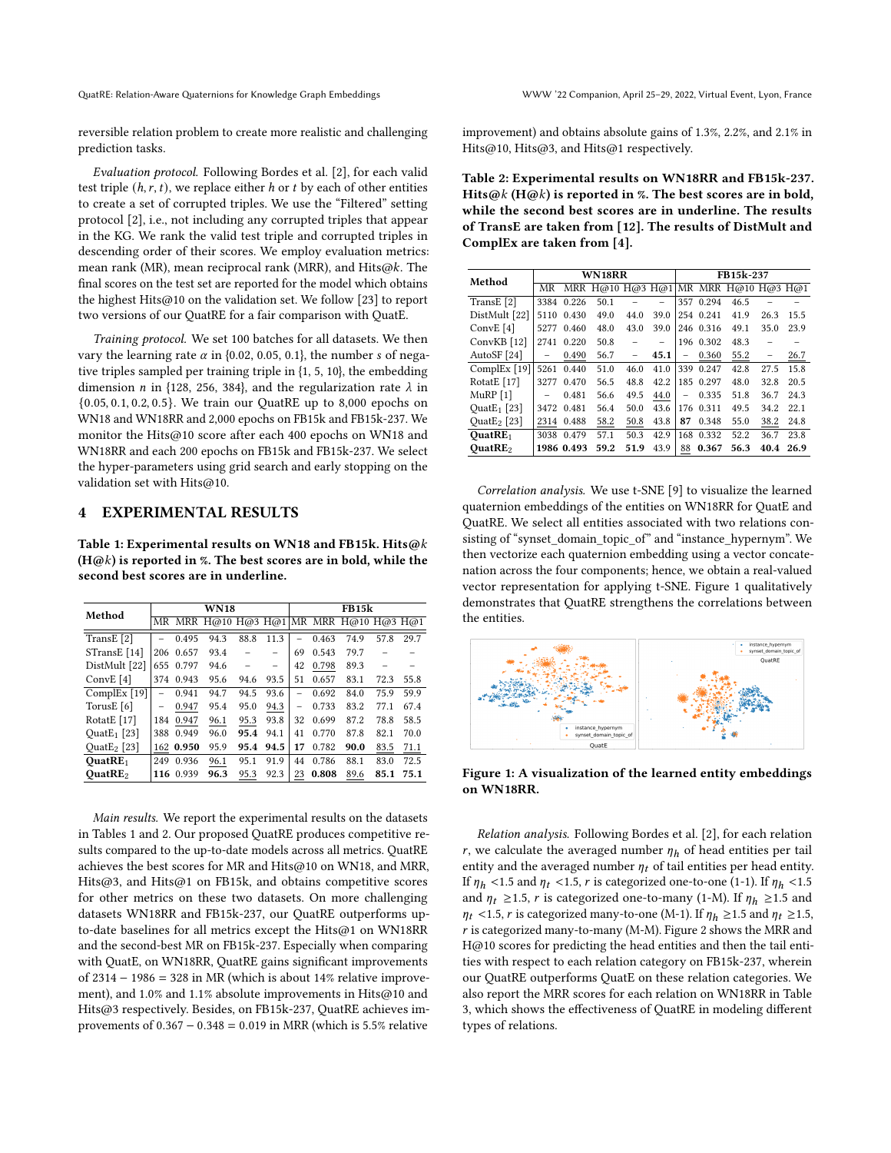QuatRE: Relation-Aware Quaternions for Knowledge Graph Embeddings WWW '22 Companion, April 25–29, 2022, Virtual Event, Lyon, France

reversible relation problem to create more realistic and challenging prediction tasks.

Evaluation protocol. Following Bordes et al. [\[2\]](#page-3-2), for each valid test triple  $(h, r, t)$ , we replace either h or t by each of other entities to create a set of corrupted triples. We use the "Filtered" setting protocol [\[2\]](#page-3-2), i.e., not including any corrupted triples that appear in the KG. We rank the valid test triple and corrupted triples in descending order of their scores. We employ evaluation metrics: mean rank (MR), mean reciprocal rank (MRR), and Hits@k. The final scores on the test set are reported for the model which obtains the highest Hits@10 on the validation set. We follow [\[23\]](#page-3-16) to report two versions of our QuatRE for a fair comparison with QuatE.

Training protocol. We set 100 batches for all datasets. We then vary the learning rate  $\alpha$  in {0.02, 0.05, 0.1}, the number s of negative triples sampled per training triple in {1, 5, 10}, the embedding dimension *n* in {128, 256, 384}, and the regularization rate  $\lambda$  in {0.05, 0.1, 0.2, 0.5}. We train our QuatRE up to 8,000 epochs on WN18 and WN18RR and 2,000 epochs on FB15k and FB15k-237. We monitor the Hits@10 score after each 400 epochs on WN18 and WN18RR and each 200 epochs on FB15k and FB15k-237. We select the hyper-parameters using grid search and early stopping on the validation set with Hits@10.

# 4 EXPERIMENTAL RESULTS

<span id="page-2-0"></span>Table 1: Experimental results on WN18 and FB15k. Hits@k  $(H@k)$  is reported in %. The best scores are in bold, while the second best scores are in underline.

| Method                             | <b>WN18</b>              |           |                                         |      |      | FB15k    |       |      |      |      |
|------------------------------------|--------------------------|-----------|-----------------------------------------|------|------|----------|-------|------|------|------|
|                                    |                          |           | MR MRR H@10 H@3 H@1 MR MRR H@10 H@3 H@1 |      |      |          |       |      |      |      |
| TransE <sup>[2]</sup>              |                          | 0.495     | 94.3                                    | 88.8 | 11.3 |          | 0.463 | 74.9 | 57.8 | 29.7 |
| STransE [14]                       | 206                      | 0.657     | 93.4                                    |      |      | 69       | 0.543 | 79.7 |      |      |
| DistMult [22]                      | 655                      | 0.797     | 94.6                                    |      |      | 42       | 0.798 | 89.3 |      |      |
| ConvE $[4]$                        | 374                      | 0.943     | 95.6                                    | 94.6 | 93.5 | 51       | 0.657 | 83.1 | 72.3 | 55.8 |
| ComplEx [19]                       | $\overline{\phantom{0}}$ | 0.941     | 94.7                                    | 94.5 | 93.6 | $\equiv$ | 0.692 | 84.0 | 75.9 | 59.9 |
| TorusE <sup>[6]</sup>              | $\overline{\phantom{0}}$ | 0.947     | 95.4                                    | 95.0 | 94.3 |          | 0.733 | 83.2 | 77.1 | 67.4 |
| RotatE $[17]$                      | 184                      | 0.947     | 96.1                                    | 95.3 | 93.8 | 32       | 0.699 | 87.2 | 78.8 | 58.5 |
| Quat $E_1$ [23]                    | 388                      | 0.949     | 96.0                                    | 95.4 | 94.1 | 41       | 0.770 | 87.8 | 82.1 | 70.0 |
| Quat <sub>E<sub>2</sub> [23]</sub> |                          | 162 0.950 | 95.9                                    | 95.4 | 94.5 | 17       | 0.782 | 90.0 | 83.5 | 71.1 |
| QuatRE <sub>1</sub>                | 249                      | 0.936     | 96.1                                    | 95.1 | 91.9 | 44       | 0.786 | 88.1 | 83.0 | 72.5 |
| QuatRE <sub>2</sub>                |                          | 116 0.939 | 96.3                                    | 95.3 | 92.3 | 23       | 0.808 | 89.6 | 85.1 | 75.1 |

Main results. We report the experimental results on the datasets in Tables [1](#page-2-0) and [2.](#page-2-1) Our proposed QuatRE produces competitive results compared to the up-to-date models across all metrics. QuatRE achieves the best scores for MR and Hits@10 on WN18, and MRR, Hits@3, and Hits@1 on FB15k, and obtains competitive scores for other metrics on these two datasets. On more challenging datasets WN18RR and FB15k-237, our QuatRE outperforms upto-date baselines for all metrics except the Hits@1 on WN18RR and the second-best MR on FB15k-237. Especially when comparing with QuatE, on WN18RR, QuatRE gains significant improvements of 2314 − 1986 = 328 in MR (which is about 14% relative improvement), and 1.0% and 1.1% absolute improvements in Hits@10 and Hits@3 respectively. Besides, on FB15k-237, QuatRE achieves improvements of 0.367 − 0.348 = 0.019 in MRR (which is 5.5% relative

improvement) and obtains absolute gains of 1.3%, 2.2%, and 2.1% in Hits@10, Hits@3, and Hits@1 respectively.

<span id="page-2-1"></span>Table 2: Experimental results on WN18RR and FB15k-237. Hits@k (H@k) is reported in %. The best scores are in bold, while the second best scores are in underline. The results of TransE are taken from [\[12\]](#page-3-22). The results of DistMult and ComplEx are taken from [\[4\]](#page-3-7).

| Method                                         | WN18RR |            |                                      |      |      | FB15k-237                |           |      |      |      |
|------------------------------------------------|--------|------------|--------------------------------------|------|------|--------------------------|-----------|------|------|------|
|                                                | ΜR     |            | MRR H@10 H@3 H@1 MR MRR H@10 H@3 H@1 |      |      |                          |           |      |      |      |
| TransE <sup>[2]</sup>                          | 3384   | 0.226      | 50.1                                 |      | -    | 357                      | 0.294     | 46.5 |      |      |
| DistMult [22]                                  | 5110   | 0.430      | 49.0                                 | 44.0 | 39.0 |                          | 254 0.241 | 41.9 | 26.3 | 15.5 |
| ConvE $[4]$                                    | 5277   | 0.460      | 48.0                                 | 43.0 | 39.0 |                          | 246 0.316 | 49.1 | 35.0 | 23.9 |
| ConvKB [12]                                    | 2741   | 0.220      | 50.8                                 |      |      |                          | 196 0.302 | 48.3 |      |      |
| AutoSF [24]                                    |        | 0.490      | 56.7                                 |      | 45.1 | $\overline{\phantom{0}}$ | 0.360     | 55.2 | -    | 26.7 |
| ComplEx $[19]$                                 | 5261   | 0.440      | 51.0                                 | 46.0 | 41.0 | 339                      | 0.247     | 42.8 | 27.5 | 15.8 |
| RotatE [17]                                    | 3277   | 0.470      | 56.5                                 | 48.8 | 42.2 |                          | 185 0.297 | 48.0 | 32.8 | 20.5 |
| MuRP $[1]$                                     |        | 0.481      | 56.6                                 | 49.5 | 44.0 | $\overline{\phantom{0}}$ | 0.335     | 51.8 | 36.7 | 24.3 |
| Ouat $E_1$ [23]                                | 3472   | 0.481      | 56.4                                 | 50.0 | 43.6 |                          | 176 0.311 | 49.5 | 34.2 | 22.1 |
| Quat <sub>E<sub>2</sub><math>[23]</math></sub> | 2314   | 0.488      | 58.2                                 | 50.8 | 43.8 | 87                       | 0.348     | 55.0 | 38.2 | 24.8 |
| QuatRE <sub>1</sub>                            | 3038   | 0.479      | 57.1                                 | 50.3 | 42.9 | 168                      | 0.332     | 52.2 | 36.7 | 23.8 |
| OuatRE <sub>2</sub>                            |        | 1986 0.493 | 59.2                                 | 51.9 | 43.9 | 88                       | 0.367     | 56.3 | 40.4 | 26.9 |

Correlation analysis. We use t-SNE [\[9\]](#page-3-24) to visualize the learned quaternion embeddings of the entities on WN18RR for QuatE and QuatRE. We select all entities associated with two relations consisting of "synset\_domain\_topic\_of" and "instance\_hypernym". We then vectorize each quaternion embedding using a vector concatenation across the four components; hence, we obtain a real-valued vector representation for applying t-SNE. Figure [1](#page-2-2) qualitatively demonstrates that QuatRE strengthens the correlations between the entities.

<span id="page-2-2"></span>

Figure 1: A visualization of the learned entity embeddings on WN18RR.

Relation analysis. Following Bordes et al. [\[2\]](#page-3-2), for each relation r, we calculate the averaged number  $\eta_h$  of head entities per tail entity and the averaged number  $\eta_t$  of tail entities per head entity. If  $\eta_h$  <1.5 and  $\eta_t$  <1.5, *r* is categorized one-to-one (1-1). If  $\eta_h$  <1.5 and  $\eta_t \geq 1.5$ , r is categorized one-to-many (1-M). If  $\eta_h \geq 1.5$  and  $\eta_t$  <1.5, *r* is categorized many-to-one (M-1). If  $\eta_h \ge 1.5$  and  $\eta_t \ge 1.5$ ,  $r$  is categorized many-to-many (M-M). Figure [2](#page-3-25) shows the MRR and H@10 scores for predicting the head entities and then the tail entities with respect to each relation category on FB15k-237, wherein our QuatRE outperforms QuatE on these relation categories. We also report the MRR scores for each relation on WN18RR in Table [3,](#page-3-26) which shows the effectiveness of QuatRE in modeling different types of relations.